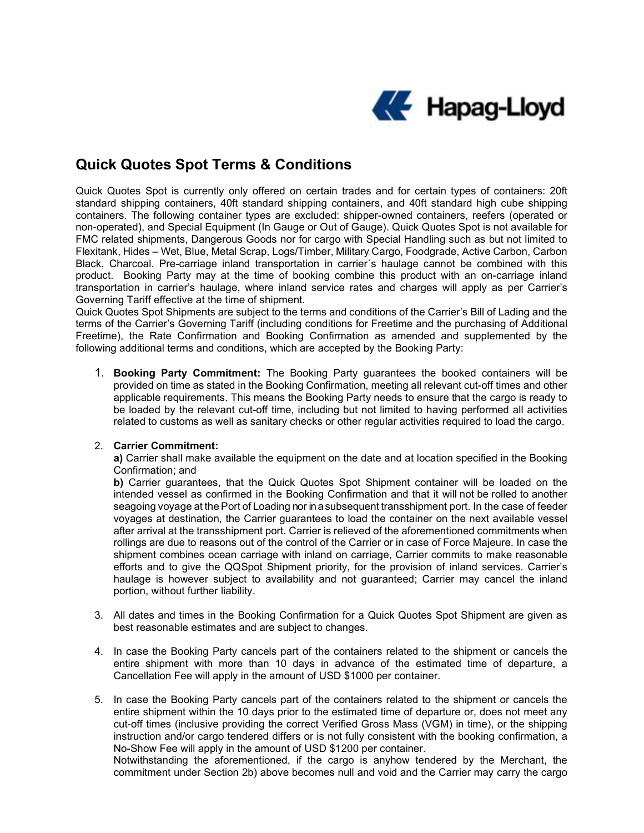

## Quick Quotes Spot Terms & Conditions

Quick Quotes Spot is currently only offered on certain trades and for certain types of containers: 20ft standard shipping containers, 40ft standard shipping containers, and 40ft standard high cube shipping containers. The following container types are excluded: shipper-owned containers, reefers (operated or non-operated), and Special Equipment (In Gauge or Out of Gauge). Quick Quotes Spot is not available for FMC related shipments, Dangerous Goods nor for cargo with Special Handling such as but not limited to Flexitank, Hides – Wet, Blue, Metal Scrap, Logs/Timber, Military Cargo, Foodgrade, Active Carbon, Carbon Black, Charcoal. Pre-carriage inland transportation in carrier´s haulage cannot be combined with this product. Booking Party may at the time of booking combine this product with an on-carriage inland transportation in carrier's haulage, where inland service rates and charges will apply as per Carrier's Governing Tariff effective at the time of shipment.

Quick Quotes Spot Shipments are subject to the terms and conditions of the Carrier's Bill of Lading and the terms of the Carrier's Governing Tariff (including conditions for Freetime and the purchasing of Additional Freetime), the Rate Confirmation and Booking Confirmation as amended and supplemented by the following additional terms and conditions, which are accepted by the Booking Party:

1. Booking Party Commitment: The Booking Party guarantees the booked containers will be provided on time as stated in the Booking Confirmation, meeting all relevant cut-off times and other applicable requirements. This means the Booking Party needs to ensure that the cargo is ready to be loaded by the relevant cut-off time, including but not limited to having performed all activities related to customs as well as sanitary checks or other regular activities required to load the cargo.

## 2. Carrier Commitment:

a) Carrier shall make available the equipment on the date and at location specified in the Booking Confirmation; and

b) Carrier guarantees, that the Quick Quotes Spot Shipment container will be loaded on the intended vessel as confirmed in the Booking Confirmation and that it will not be rolled to another seagoing voyage at the Port of Loading nor in a subsequent transshipment port. In the case of feeder voyages at destination, the Carrier guarantees to load the container on the next available vessel after arrival at the transshipment port. Carrier is relieved of the aforementioned commitments when rollings are due to reasons out of the control of the Carrier or in case of Force Majeure. In case the shipment combines ocean carriage with inland on carriage, Carrier commits to make reasonable efforts and to give the QQSpot Shipment priority, for the provision of inland services. Carrier's haulage is however subject to availability and not guaranteed; Carrier may cancel the inland portion, without further liability.

- 3. All dates and times in the Booking Confirmation for a Quick Quotes Spot Shipment are given as best reasonable estimates and are subject to changes.
- 4. In case the Booking Party cancels part of the containers related to the shipment or cancels the entire shipment with more than 10 days in advance of the estimated time of departure, a Cancellation Fee will apply in the amount of USD \$1000 per container.
- 5. In case the Booking Party cancels part of the containers related to the shipment or cancels the entire shipment within the 10 days prior to the estimated time of departure or, does not meet any cut-off times (inclusive providing the correct Verified Gross Mass (VGM) in time), or the shipping instruction and/or cargo tendered differs or is not fully consistent with the booking confirmation, a No-Show Fee will apply in the amount of USD \$1200 per container.

Notwithstanding the aforementioned, if the cargo is anyhow tendered by the Merchant, the commitment under Section 2b) above becomes null and void and the Carrier may carry the cargo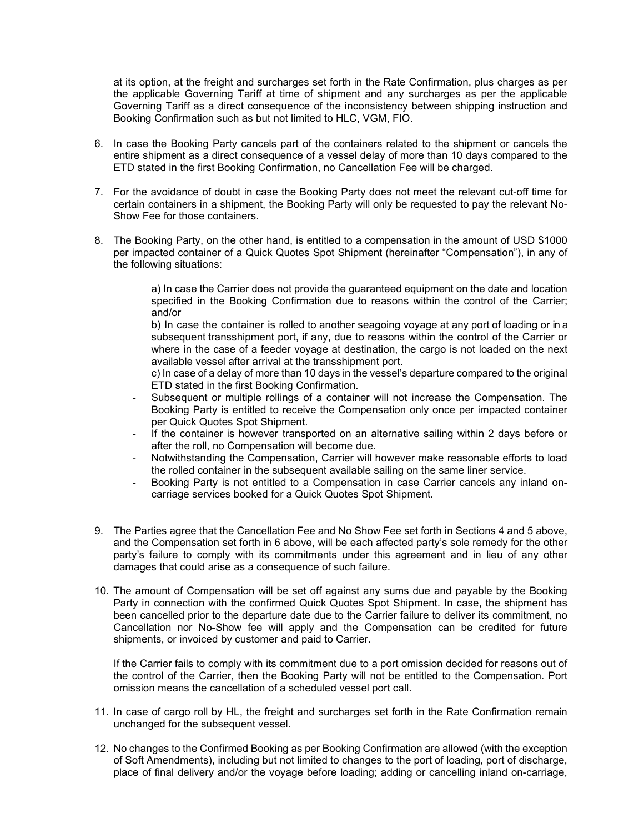at its option, at the freight and surcharges set forth in the Rate Confirmation, plus charges as per the applicable Governing Tariff at time of shipment and any surcharges as per the applicable Governing Tariff as a direct consequence of the inconsistency between shipping instruction and Booking Confirmation such as but not limited to HLC, VGM, FIO.

- 6. In case the Booking Party cancels part of the containers related to the shipment or cancels the entire shipment as a direct consequence of a vessel delay of more than 10 days compared to the ETD stated in the first Booking Confirmation, no Cancellation Fee will be charged.
- 7. For the avoidance of doubt in case the Booking Party does not meet the relevant cut-off time for certain containers in a shipment, the Booking Party will only be requested to pay the relevant No-Show Fee for those containers.
- 8. The Booking Party, on the other hand, is entitled to a compensation in the amount of USD \$1000 per impacted container of a Quick Quotes Spot Shipment (hereinafter "Compensation"), in any of the following situations:

a) In case the Carrier does not provide the guaranteed equipment on the date and location specified in the Booking Confirmation due to reasons within the control of the Carrier; and/or

b) In case the container is rolled to another seagoing voyage at any port of loading or in a subsequent transshipment port, if any, due to reasons within the control of the Carrier or where in the case of a feeder voyage at destination, the cargo is not loaded on the next available vessel after arrival at the transshipment port.

c) In case of a delay of more than 10 days in the vessel's departure compared to the original ETD stated in the first Booking Confirmation.

- Subsequent or multiple rollings of a container will not increase the Compensation. The Booking Party is entitled to receive the Compensation only once per impacted container per Quick Quotes Spot Shipment.
- If the container is however transported on an alternative sailing within 2 days before or after the roll, no Compensation will become due.
- Notwithstanding the Compensation, Carrier will however make reasonable efforts to load the rolled container in the subsequent available sailing on the same liner service.
- Booking Party is not entitled to a Compensation in case Carrier cancels any inland oncarriage services booked for a Quick Quotes Spot Shipment.
- 9. The Parties agree that the Cancellation Fee and No Show Fee set forth in Sections 4 and 5 above, and the Compensation set forth in 6 above, will be each affected party's sole remedy for the other party's failure to comply with its commitments under this agreement and in lieu of any other damages that could arise as a consequence of such failure.
- 10. The amount of Compensation will be set off against any sums due and payable by the Booking Party in connection with the confirmed Quick Quotes Spot Shipment. In case, the shipment has been cancelled prior to the departure date due to the Carrier failure to deliver its commitment, no Cancellation nor No-Show fee will apply and the Compensation can be credited for future shipments, or invoiced by customer and paid to Carrier.

If the Carrier fails to comply with its commitment due to a port omission decided for reasons out of the control of the Carrier, then the Booking Party will not be entitled to the Compensation. Port omission means the cancellation of a scheduled vessel port call.

- 11. In case of cargo roll by HL, the freight and surcharges set forth in the Rate Confirmation remain unchanged for the subsequent vessel.
- 12. No changes to the Confirmed Booking as per Booking Confirmation are allowed (with the exception of Soft Amendments), including but not limited to changes to the port of loading, port of discharge, place of final delivery and/or the voyage before loading; adding or cancelling inland on-carriage,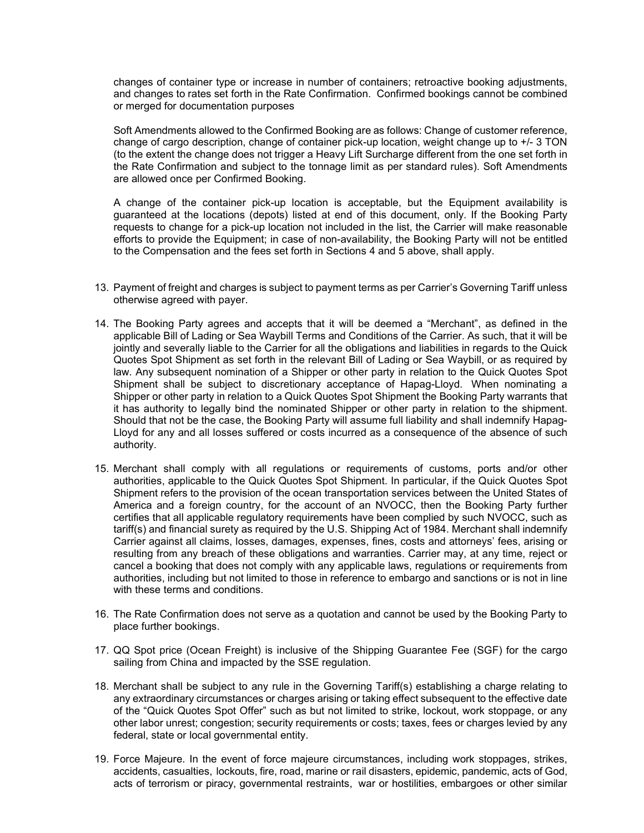changes of container type or increase in number of containers; retroactive booking adjustments, and changes to rates set forth in the Rate Confirmation. Confirmed bookings cannot be combined or merged for documentation purposes

 Soft Amendments allowed to the Confirmed Booking are as follows: Change of customer reference, change of cargo description, change of container pick-up location, weight change up to +/- 3 TON (to the extent the change does not trigger a Heavy Lift Surcharge different from the one set forth in the Rate Confirmation and subject to the tonnage limit as per standard rules). Soft Amendments are allowed once per Confirmed Booking.

A change of the container pick-up location is acceptable, but the Equipment availability is guaranteed at the locations (depots) listed at end of this document, only. If the Booking Party requests to change for a pick-up location not included in the list, the Carrier will make reasonable efforts to provide the Equipment; in case of non-availability, the Booking Party will not be entitled to the Compensation and the fees set forth in Sections 4 and 5 above, shall apply.

- 13. Payment of freight and charges is subject to payment terms as per Carrier's Governing Tariff unless otherwise agreed with payer.
- 14. The Booking Party agrees and accepts that it will be deemed a "Merchant", as defined in the applicable Bill of Lading or Sea Waybill Terms and Conditions of the Carrier. As such, that it will be jointly and severally liable to the Carrier for all the obligations and liabilities in regards to the Quick Quotes Spot Shipment as set forth in the relevant Bill of Lading or Sea Waybill, or as required by law. Any subsequent nomination of a Shipper or other party in relation to the Quick Quotes Spot Shipment shall be subject to discretionary acceptance of Hapag-Lloyd. When nominating a Shipper or other party in relation to a Quick Quotes Spot Shipment the Booking Party warrants that it has authority to legally bind the nominated Shipper or other party in relation to the shipment. Should that not be the case, the Booking Party will assume full liability and shall indemnify Hapag-Lloyd for any and all losses suffered or costs incurred as a consequence of the absence of such authority.
- 15. Merchant shall comply with all regulations or requirements of customs, ports and/or other authorities, applicable to the Quick Quotes Spot Shipment. In particular, if the Quick Quotes Spot Shipment refers to the provision of the ocean transportation services between the United States of America and a foreign country, for the account of an NVOCC, then the Booking Party further certifies that all applicable regulatory requirements have been complied by such NVOCC, such as tariff(s) and financial surety as required by the U.S. Shipping Act of 1984. Merchant shall indemnify Carrier against all claims, losses, damages, expenses, fines, costs and attorneys' fees, arising or resulting from any breach of these obligations and warranties. Carrier may, at any time, reject or cancel a booking that does not comply with any applicable laws, regulations or requirements from authorities, including but not limited to those in reference to embargo and sanctions or is not in line with these terms and conditions.
- 16. The Rate Confirmation does not serve as a quotation and cannot be used by the Booking Party to place further bookings.
- 17. QQ Spot price (Ocean Freight) is inclusive of the Shipping Guarantee Fee (SGF) for the cargo sailing from China and impacted by the SSE regulation.
- 18. Merchant shall be subject to any rule in the Governing Tariff(s) establishing a charge relating to any extraordinary circumstances or charges arising or taking effect subsequent to the effective date of the "Quick Quotes Spot Offer" such as but not limited to strike, lockout, work stoppage, or any other labor unrest; congestion; security requirements or costs; taxes, fees or charges levied by any federal, state or local governmental entity.
- 19. Force Majeure. In the event of force majeure circumstances, including work stoppages, strikes, accidents, casualties, lockouts, fire, road, marine or rail disasters, epidemic, pandemic, acts of God, acts of terrorism or piracy, governmental restraints, war or hostilities, embargoes or other similar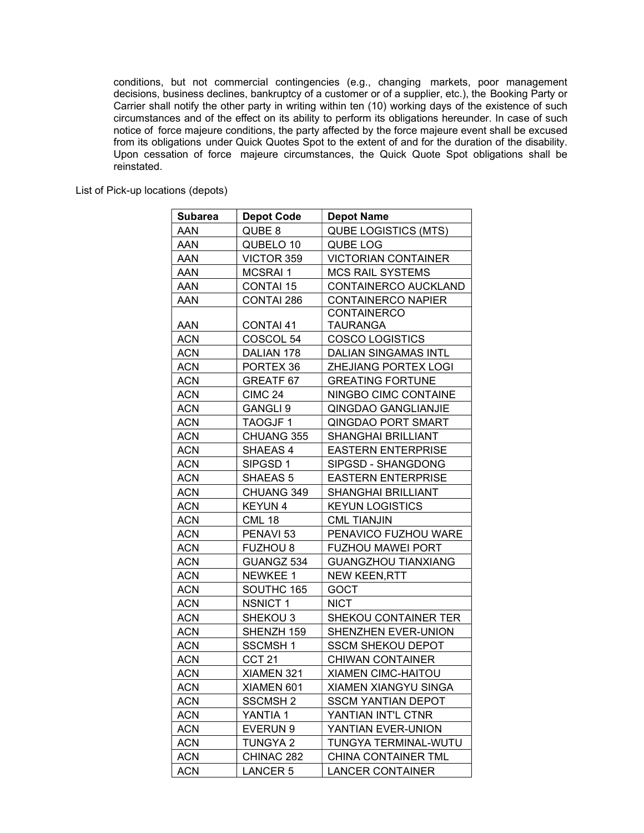conditions, but not commercial contingencies (e.g., changing markets, poor management decisions, business declines, bankruptcy of a customer or of a supplier, etc.), the Booking Party or Carrier shall notify the other party in writing within ten (10) working days of the existence of such circumstances and of the effect on its ability to perform its obligations hereunder. In case of such notice of force majeure conditions, the party affected by the force majeure event shall be excused from its obligations under Quick Quotes Spot to the extent of and for the duration of the disability. Upon cessation of force majeure circumstances, the Quick Quote Spot obligations shall be reinstated.

List of Pick-up locations (depots)

| <b>Subarea</b> | <b>Depot Code</b>    | <b>Depot Name</b>           |
|----------------|----------------------|-----------------------------|
| AAN            | QUBE 8               | <b>QUBE LOGISTICS (MTS)</b> |
| AAN            | QUBELO 10            | QUBE LOG                    |
| AAN            | VICTOR 359           | <b>VICTORIAN CONTAINER</b>  |
| AAN            | <b>MCSRAI1</b>       | <b>MCS RAIL SYSTEMS</b>     |
| AAN            | <b>CONTAI 15</b>     | CONTAINERCO AUCKLAND        |
| AAN            | CONTAI 286           | <b>CONTAINERCO NAPIER</b>   |
|                |                      | <b>CONTAINERCO</b>          |
| AAN            | CONTAI 41            | TAURANGA                    |
| <b>ACN</b>     | COSCOL 54            | <b>COSCO LOGISTICS</b>      |
| ACN            | DALIAN 178           | DALIAN SINGAMAS INTL        |
| <b>ACN</b>     | PORTEX 36            | ZHEJIANG PORTEX LOGI        |
| <b>ACN</b>     | <b>GREATF 67</b>     | <b>GREATING FORTUNE</b>     |
| <b>ACN</b>     | <b>CIMC 24</b>       | NINGBO CIMC CONTAINE        |
| <b>ACN</b>     | GANGLI <sub>9</sub>  | QINGDAO GANGLIANJIE         |
| ACN            | TAOGJF1              | QINGDAO PORT SMART          |
| <b>ACN</b>     | CHUANG 355           | <b>SHANGHAI BRILLIANT</b>   |
| <b>ACN</b>     | SHAEAS 4             | <b>EASTERN ENTERPRISE</b>   |
| <b>ACN</b>     | SIPGSD 1             | SIPGSD - SHANGDONG          |
| <b>ACN</b>     | SHAEAS 5             | <b>EASTERN ENTERPRISE</b>   |
| <b>ACN</b>     | CHUANG 349           | SHANGHAI BRILLIANT          |
| <b>ACN</b>     | <b>KEYUN4</b>        | <b>KEYUN LOGISTICS</b>      |
| <b>ACN</b>     | <b>CML 18</b>        | <b>CML TIANJIN</b>          |
| <b>ACN</b>     | PENAVI <sub>53</sub> | PENAVICO FUZHOU WARE        |
| <b>ACN</b>     | <b>FUZHOU 8</b>      | <b>FUZHOU MAWEI PORT</b>    |
| <b>ACN</b>     | GUANGZ 534           | <b>GUANGZHOU TIANXIANG</b>  |
| <b>ACN</b>     | NEWKEE 1             | <b>NEW KEEN, RTT</b>        |
| <b>ACN</b>     | SOUTHC 165           | <b>GOCT</b>                 |
| <b>ACN</b>     | <b>NSNICT 1</b>      | <b>NICT</b>                 |
| <b>ACN</b>     | SHEKOU <sub>3</sub>  | SHEKOU CONTAINER TER        |
| <b>ACN</b>     | SHENZH 159           | SHENZHEN EVER-UNION         |
| <b>ACN</b>     | SSCMSH1              | <b>SSCM SHEKOU DEPOT</b>    |
| <b>ACN</b>     | CCT <sub>21</sub>    | <b>CHIWAN CONTAINER</b>     |
| <b>ACN</b>     | XIAMEN 321           | <b>XIAMEN CIMC-HAITOU</b>   |
| <b>ACN</b>     | XIAMEN 601           | XIAMEN XIANGYU SINGA        |
| ACN            | <b>SSCMSH2</b>       | <b>SSCM YANTIAN DEPOT</b>   |
| <b>ACN</b>     | YANTIA 1             | YANTIAN INT'L CTNR          |
| <b>ACN</b>     | EVERUN 9             | YANTIAN EVER-UNION          |
| <b>ACN</b>     | TUNGYA 2             | TUNGYA TERMINAL-WUTU        |
| ACN            | CHINAC 282           | <b>CHINA CONTAINER TML</b>  |
| <b>ACN</b>     | <b>LANCER 5</b>      | <b>LANCER CONTAINER</b>     |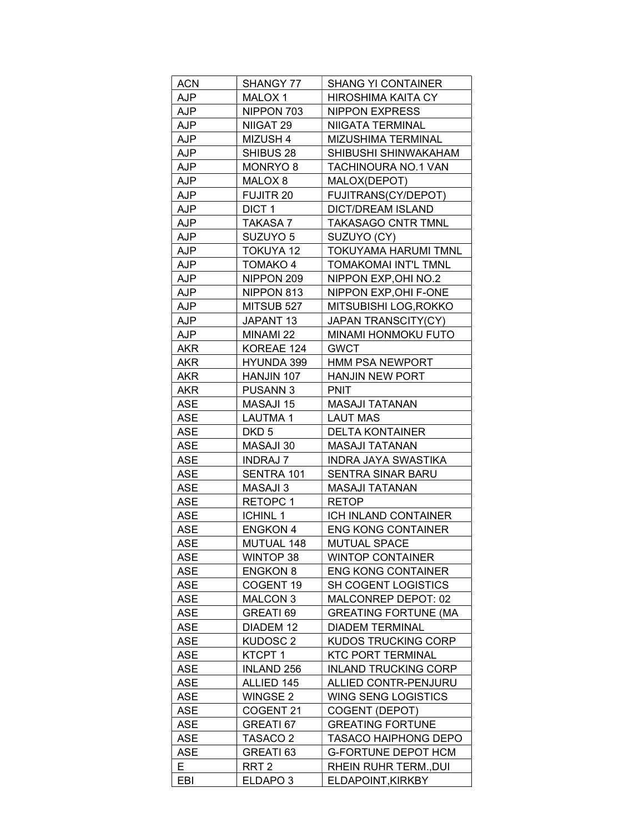| <b>ACN</b> | SHANGY 77           | <b>SHANG YI CONTAINER</b>   |
|------------|---------------------|-----------------------------|
| AJP        | MALOX 1             | <b>HIROSHIMA KAITA CY</b>   |
| <b>AJP</b> | NIPPON 703          | NIPPON EXPRESS              |
| AJP        | NIIGAT 29           | NIIGATA TERMINAL            |
| AJP        | MIZUSH 4            | <b>MIZUSHIMA TERMINAL</b>   |
| AJP        | SHIBUS 28           | SHIBUSHI SHINWAKAHAM        |
| <b>AJP</b> | MONRYO 8            | <b>TACHINOURA NO.1 VAN</b>  |
| <b>AJP</b> | MALOX <sub>8</sub>  | MALOX(DEPOT)                |
| <b>AJP</b> | <b>FUJITR 20</b>    | FUJITRANS(CY/DEPOT)         |
| <b>AJP</b> | DICT <sub>1</sub>   | <b>DICT/DREAM ISLAND</b>    |
| AJP        | TAKASA 7            | <b>TAKASAGO CNTR TMNL</b>   |
| <b>AJP</b> | SUZUYO 5            | SUZUYO (CY)                 |
| <b>AJP</b> | <b>TOKUYA 12</b>    | <b>TOKUYAMA HARUMI TMNL</b> |
| AJP        | TOMAKO 4            | TOMAKOMAI INT'L TMNL        |
| AJP        | NIPPON 209          | NIPPON EXP, OHI NO.2        |
| <b>AJP</b> | NIPPON 813          | NIPPON EXP, OHI F-ONE       |
| <b>AJP</b> | MITSUB 527          | MITSUBISHI LOG, ROKKO       |
| <b>AJP</b> | JAPANT 13           | JAPAN TRANSCITY(CY)         |
| <b>AJP</b> | MINAMI 22           | <b>MINAMI HONMOKU FUTO</b>  |
| <b>AKR</b> | KOREAE 124          | <b>GWCT</b>                 |
| <b>AKR</b> | HYUNDA 399          | <b>HMM PSA NEWPORT</b>      |
| <b>AKR</b> | HANJIN 107          | <b>HANJIN NEW PORT</b>      |
| AKR        | <b>PUSANN3</b>      | <b>PNIT</b>                 |
| ASE        | MASAJI 15           | MASAJI TATANAN              |
| <b>ASE</b> | LAUTMA 1            | LAUT MAS                    |
| <b>ASE</b> | DKD 5               | <b>DELTA KONTAINER</b>      |
| <b>ASE</b> | MASAJI 30           | MASAJI TATANAN              |
| <b>ASE</b> | <b>INDRAJ 7</b>     | INDRA JAYA SWASTIKA         |
| <b>ASE</b> | SENTRA 101          | SENTRA SINAR BARU           |
| <b>ASE</b> | MASAJI 3            | <b>MASAJI TATANAN</b>       |
| <b>ASE</b> | RETOPC 1            | <b>RETOP</b>                |
| <b>ASE</b> | ICHINL 1            | ICH INLAND CONTAINER        |
| <b>ASE</b> | <b>ENGKON 4</b>     | <b>ENG KONG CONTAINER</b>   |
| ASE        | MUTUAL 148          | <b>MUTUAL SPACE</b>         |
| <b>ASE</b> | WINTOP 38           | <b>WINTOP CONTAINER</b>     |
| <b>ASE</b> | <b>ENGKON 8</b>     | <b>ENG KONG CONTAINER</b>   |
| <b>ASE</b> | COGENT 19           | SH COGENT LOGISTICS         |
| <b>ASE</b> | MALCON 3            | MALCONREP DEPOT: 02         |
| <b>ASE</b> | GREATI 69           | <b>GREATING FORTUNE (MA</b> |
| <b>ASE</b> | DIADEM 12           | DIADEM TERMINAL             |
| <b>ASE</b> | KUDOSC <sub>2</sub> | <b>KUDOS TRUCKING CORP</b>  |
| <b>ASE</b> | KTCPT 1             | <b>KTC PORT TERMINAL</b>    |
| <b>ASE</b> | <b>INLAND 256</b>   | <b>INLAND TRUCKING CORP</b> |
| <b>ASE</b> | ALLIED 145          | ALLIED CONTR-PENJURU        |
| <b>ASE</b> | WINGSE 2            | <b>WING SENG LOGISTICS</b>  |
| <b>ASE</b> | COGENT 21           | COGENT (DEPOT)              |
| <b>ASE</b> | GREATI 67           | <b>GREATING FORTUNE</b>     |
| <b>ASE</b> | TASACO 2            | <b>TASACO HAIPHONG DEPO</b> |
| <b>ASE</b> | GREATI 63           | G-FORTUNE DEPOT HCM         |
| E.         | RRT <sub>2</sub>    | RHEIN RUHR TERM., DUI       |
| EBI        | ELDAPO <sub>3</sub> | ELDAPOINT, KIRKBY           |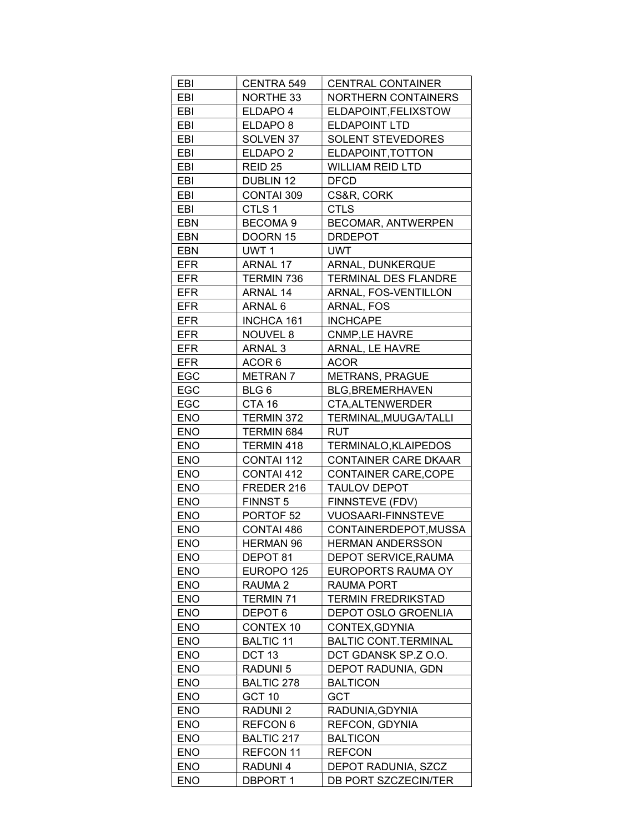| EBI        | CENTRA 549           | <b>CENTRAL CONTAINER</b>    |
|------------|----------------------|-----------------------------|
| EBI        | <b>NORTHE 33</b>     | <b>NORTHERN CONTAINERS</b>  |
| EBI        | ELDAPO 4             | ELDAPOINT, FELIXSTOW        |
| EBI        | ELDAPO <sub>8</sub>  | <b>ELDAPOINT LTD</b>        |
| EBI        | SOLVEN 37            | <b>SOLENT STEVEDORES</b>    |
| EBI        | ELDAPO <sub>2</sub>  | ELDAPOINT, TOTTON           |
| EBI        | REID 25              | <b>WILLIAM REID LTD</b>     |
| EBI        | DUBLIN 12            | DFCD                        |
| EBI        | CONTAI 309           | CS&R, CORK                  |
| EBI        | CTLS 1               | <b>CTLS</b>                 |
| <b>EBN</b> | <b>BECOMA 9</b>      | <b>BECOMAR, ANTWERPEN</b>   |
| <b>EBN</b> | DOORN 15             | DRDEPOT                     |
| EBN        | UWT 1                | UWT                         |
| <b>EFR</b> | ARNAL 17             | ARNAL, DUNKERQUE            |
| <b>EFR</b> | TERMIN 736           | <b>TERMINAL DES FLANDRE</b> |
| <b>EFR</b> | ARNAL 14             | ARNAL, FOS-VENTILLON        |
| <b>EFR</b> | ARNAL 6              | ARNAL, FOS                  |
| EFR        | INCHCA 161           | <b>INCHCAPE</b>             |
|            |                      |                             |
| <b>EFR</b> | NOUVEL 8             | <b>CNMP,LE HAVRE</b>        |
| EFR        | ARNAL 3              | <b>ARNAL, LE HAVRE</b>      |
| <b>EFR</b> | ACOR 6               | <b>ACOR</b>                 |
| EGC        | <b>METRAN7</b>       | <b>METRANS, PRAGUE</b>      |
| EGC        | BLG 6                | <b>BLG, BREMERHAVEN</b>     |
| EGC        | CTA 16               | CTA, ALTENWERDER            |
| <b>ENO</b> | TERMIN 372           | TERMINAL, MUUGA/TALLI       |
| <b>ENO</b> | TERMIN 684           | <b>RUT</b>                  |
| <b>ENO</b> | TERMIN 418           | <b>TERMINALO, KLAIPEDOS</b> |
| <b>ENO</b> | CONTAI 112           | <b>CONTAINER CARE DKAAR</b> |
| <b>ENO</b> | CONTAI 412           | <b>CONTAINER CARE, COPE</b> |
| <b>ENO</b> | FREDER 216           | <b>TAULOV DEPOT</b>         |
| <b>ENO</b> | FINNST 5             | FINNSTEVE (FDV)             |
| <b>ENO</b> | PORTOF <sub>52</sub> | <b>VUOSAARI-FINNSTEVE</b>   |
| <b>ENO</b> | CONTAI 486           | CONTAINERDEPOT, MUSSA       |
| <b>ENO</b> | <b>HERMAN 96</b>     | <b>HERMAN ANDERSSON</b>     |
| <b>ENO</b> | DEPOT 81             | DEPOT SERVICE, RAUMA        |
| <b>ENO</b> | EUROPO 125           | EUROPORTS RAUMA OY          |
| <b>ENO</b> | RAUMA <sub>2</sub>   | RAUMA PORT                  |
| <b>ENO</b> | <b>TERMIN 71</b>     | <b>TERMIN FREDRIKSTAD</b>   |
| <b>ENO</b> | DEPOT <sub>6</sub>   | DEPOT OSLO GROENLIA         |
| <b>ENO</b> | <b>CONTEX 10</b>     | CONTEX, GDYNIA              |
| <b>ENO</b> | <b>BALTIC 11</b>     | <b>BALTIC CONT.TERMINAL</b> |
| <b>ENO</b> | DCT <sub>13</sub>    | DCT GDANSK SP.Z O.O.        |
| <b>ENO</b> | <b>RADUNI 5</b>      | DEPOT RADUNIA, GDN          |
| <b>ENO</b> | <b>BALTIC 278</b>    | <b>BALTICON</b>             |
| <b>ENO</b> | GCT 10               | <b>GCT</b>                  |
| <b>ENO</b> | <b>RADUNI 2</b>      | RADUNIA, GDYNIA             |
| <b>ENO</b> | REFCON 6             | <b>REFCON, GDYNIA</b>       |
| <b>ENO</b> | BALTIC 217           | <b>BALTICON</b>             |
| <b>ENO</b> | REFCON 11            | <b>REFCON</b>               |
| <b>ENO</b> | RADUNI 4             | DEPOT RADUNIA, SZCZ         |
| <b>ENO</b> | <b>DBPORT 1</b>      | DB PORT SZCZECIN/TER        |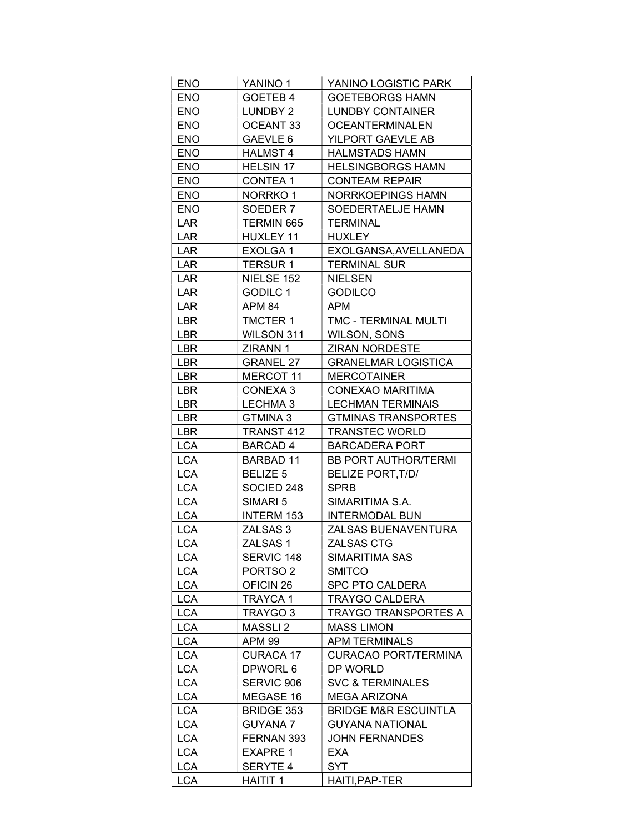| <b>ENO</b>               | YANINO 1                      | YANINO LOGISTIC PARK             |
|--------------------------|-------------------------------|----------------------------------|
| <b>ENO</b>               | GOETEB 4                      | <b>GOETEBORGS HAMN</b>           |
| <b>ENO</b>               | LUNDBY 2                      | LUNDBY CONTAINER                 |
| <b>ENO</b>               | OCEANT 33                     | <b>OCEANTERMINALEN</b>           |
| <b>ENO</b>               | GAEVLE 6                      | YILPORT GAEVLE AB                |
| <b>ENO</b>               | <b>HALMST 4</b>               | <b>HALMSTADS HAMN</b>            |
| <b>ENO</b>               | <b>HELSIN 17</b>              | <b>HELSINGBORGS HAMN</b>         |
| <b>ENO</b>               | CONTEA 1                      | <b>CONTEAM REPAIR</b>            |
| <b>ENO</b>               | NORRKO 1                      | NORRKOEPINGS HAMN                |
| <b>ENO</b>               | SOEDER 7                      | SOEDERTAELJE HAMN                |
| <b>LAR</b>               | TERMIN 665                    | <b>TERMINAL</b>                  |
| LAR                      | HUXLEY 11                     | <b>HUXLEY</b>                    |
| LAR                      | EXOLGA1                       | EXOLGANSA, AVELLANEDA            |
| LAR                      | <b>TERSUR1</b>                | <b>TERMINAL SUR</b>              |
| LAR                      | NIELSE 152                    | <b>NIELSEN</b>                   |
| LAR                      | GODILC 1                      | <b>GODILCO</b>                   |
| LAR                      | APM 84                        | <b>APM</b>                       |
| <b>LBR</b>               | <b>TMCTER 1</b>               | <b>TMC - TERMINAL MULTI</b>      |
| <b>LBR</b>               | WILSON 311                    | WILSON, SONS                     |
| LBR                      | ZIRANN 1                      | <b>ZIRAN NORDESTE</b>            |
| <b>LBR</b>               | <b>GRANEL 27</b>              | <b>GRANELMAR LOGISTICA</b>       |
| LBR                      | MERCOT 11                     | <b>MERCOTAINER</b>               |
| <b>LBR</b>               | CONEXA 3                      | CONEXAO MARITIMA                 |
| LBR                      | LECHMA 3                      | <b>LECHMAN TERMINAIS</b>         |
| LBR                      | GTMINA 3                      | <b>GTMINAS TRANSPORTES</b>       |
| <b>LBR</b>               |                               |                                  |
|                          | TRANST 412<br><b>BARCAD 4</b> | <b>TRANSTEC WORLD</b>            |
| <b>LCA</b>               |                               | <b>BARCADERA PORT</b>            |
| <b>LCA</b>               | <b>BARBAD 11</b>              | <b>BB PORT AUTHOR/TERMI</b>      |
| <b>LCA</b>               | <b>BELIZE 5</b>               | BELIZE PORT, T/D/<br><b>SPRB</b> |
| <b>LCA</b>               | SOCIED 248                    |                                  |
| <b>LCA</b>               | SIMARI 5                      | SIMARITIMA S.A.                  |
| <b>LCA</b>               | <b>INTERM 153</b>             | <b>INTERMODAL BUN</b>            |
| <b>LCA</b>               | ZALSAS 3                      | ZALSAS BUENAVENTURA              |
| <b>LCA</b>               | ZALSAS 1                      | ZALSAS CTG                       |
| <b>LCA</b>               | SERVIC 148                    | SIMARITIMA SAS                   |
| <b>LCA</b><br><b>LCA</b> | PORTSO <sub>2</sub>           | SMITCO<br><b>SPC PTO CALDERA</b> |
|                          | OFICIN <sub>26</sub>          |                                  |
| <b>LCA</b>               | <b>TRAYCA1</b>                | <b>TRAYGO CALDERA</b>            |
| <b>LCA</b>               | TRAYGO 3                      | TRAYGO TRANSPORTES A             |
| <b>LCA</b>               | MASSLI <sub>2</sub>           | <b>MASS LIMON</b>                |
| <b>LCA</b>               | <b>APM 99</b>                 | <b>APM TERMINALS</b>             |
| <b>LCA</b>               | <b>CURACA 17</b>              | CURACAO PORT/TERMINA             |
| <b>LCA</b>               | DPWORL 6                      | DP WORLD                         |
| <b>LCA</b>               | SERVIC 906                    | <b>SVC &amp; TERMINALES</b>      |
| <b>LCA</b>               | MEGASE 16                     | <b>MEGA ARIZONA</b>              |
| <b>LCA</b>               | <b>BRIDGE 353</b>             | <b>BRIDGE M&amp;R ESCUINTLA</b>  |
| <b>LCA</b>               | <b>GUYANA7</b>                | <b>GUYANA NATIONAL</b>           |
| <b>LCA</b>               | FERNAN 393                    | JOHN FERNANDES                   |
| <b>LCA</b>               | <b>EXAPRE 1</b>               | <b>EXA</b>                       |
| <b>LCA</b>               | SERYTE 4                      | <b>SYT</b>                       |
| <b>LCA</b>               | <b>HAITIT 1</b>               | HAITI, PAP-TER                   |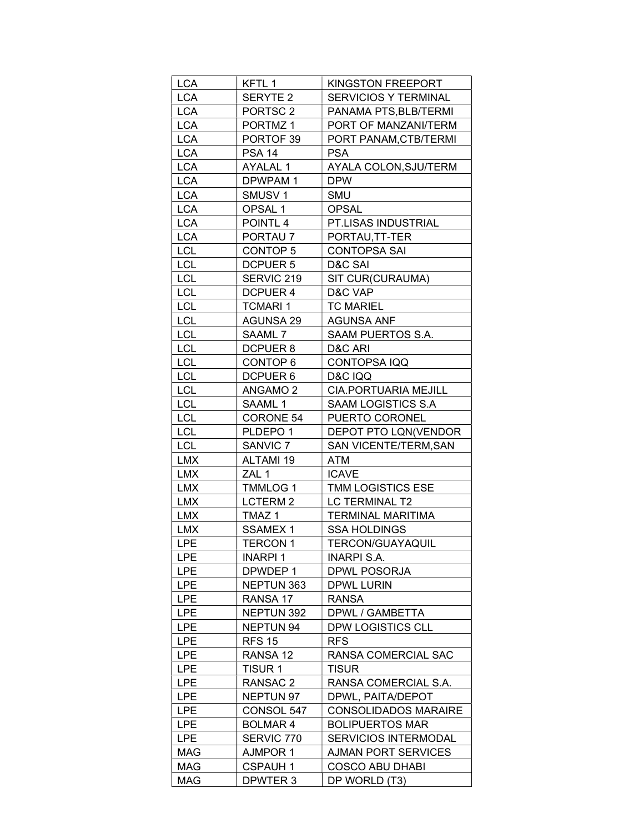| <b>LCA</b> | KFTL 1              | KINGSTON FREEPORT           |
|------------|---------------------|-----------------------------|
| <b>LCA</b> | <b>SERYTE 2</b>     | <b>SERVICIOS Y TERMINAL</b> |
| <b>LCA</b> | PORTSC <sub>2</sub> | PANAMA PTS, BLB/TERMI       |
| <b>LCA</b> | PORTMZ <sub>1</sub> | PORT OF MANZANI/TERM        |
| <b>LCA</b> | PORTOF 39           | PORT PANAM, CTB/TERMI       |
| <b>LCA</b> | <b>PSA 14</b>       | <b>PSA</b>                  |
| <b>LCA</b> | <b>AYALAL 1</b>     | AYALA COLON, SJU/TERM       |
| <b>LCA</b> | DPWPAM 1            | <b>DPW</b>                  |
| <b>LCA</b> | SMUSV <sub>1</sub>  | SMU                         |
| <b>LCA</b> | OPSAL 1             | <b>OPSAL</b>                |
| <b>LCA</b> | POINTL <sub>4</sub> | PT.LISAS INDUSTRIAL         |
| <b>LCA</b> | PORTAU <sub>7</sub> | PORTAU, TT-TER              |
| <b>LCL</b> | CONTOP 5            | <b>CONTOPSA SAI</b>         |
| <b>LCL</b> | <b>DCPUER 5</b>     | D&C SAI                     |
| <b>LCL</b> | SERVIC 219          | SIT CUR(CURAUMA)            |
| <b>LCL</b> | <b>DCPUER 4</b>     | D&C VAP                     |
| <b>LCL</b> | <b>TCMARI 1</b>     | <b>TC MARIEL</b>            |
| <b>LCL</b> | <b>AGUNSA 29</b>    | <b>AGUNSA ANF</b>           |
| <b>LCL</b> | SAAML 7             | SAAM PUERTOS S.A.           |
| <b>LCL</b> | DCPUER 8            | D&C ARI                     |
| <b>LCL</b> | CONTOP 6            | CONTOPSA IQQ                |
| <b>LCL</b> | DCPUER 6            | <b>D&amp;C IQQ</b>          |
| <b>LCL</b> | <b>ANGAMO 2</b>     | CIA.PORTUARIA MEJILL        |
| <b>LCL</b> | SAAML 1             | SAAM LOGISTICS S.A          |
| <b>LCL</b> | <b>CORONE 54</b>    | PUERTO CORONEL              |
| <b>LCL</b> | PLDEPO <sub>1</sub> | DEPOT PTO LQN(VENDOR        |
| <b>LCL</b> | SANVIC <sub>7</sub> | SAN VICENTE/TERM, SAN       |
| <b>LMX</b> | ALTAMI 19           | ATM                         |
| <b>LMX</b> | ZAL 1               | <b>ICAVE</b>                |
| <b>LMX</b> | <b>TMMLOG 1</b>     | <b>TMM LOGISTICS ESE</b>    |
| <b>LMX</b> | LCTERM <sub>2</sub> | LC TERMINAL T2              |
| <b>LMX</b> | TMAZ <sub>1</sub>   | <b>TERMINAL MARITIMA</b>    |
| <b>LMX</b> | <b>SSAMEX1</b>      | <b>SSA HOLDINGS</b>         |
| <b>LPE</b> | <b>TERCON 1</b>     | <b>TERCON/GUAYAQUIL</b>     |
| <b>LPE</b> | <b>INARPI1</b>      | <b>INARPI S.A.</b>          |
| <b>LPE</b> | DPWDEP 1            | <b>DPWL POSORJA</b>         |
| <b>LPE</b> | NEPTUN 363          | DPWL LURIN                  |
| <b>LPE</b> | RANSA 17            | <b>RANSA</b>                |
| <b>LPE</b> | NEPTUN 392          | DPWL / GAMBETTA             |
| <b>LPE</b> | NEPTUN 94           | <b>DPW LOGISTICS CLL</b>    |
| <b>LPE</b> | <b>RFS 15</b>       | <b>RFS</b>                  |
| <b>LPE</b> | RANSA 12            | RANSA COMERCIAL SAC         |
| <b>LPE</b> | TISUR 1             | <b>TISUR</b>                |
| <b>LPE</b> | RANSAC 2            | RANSA COMERCIAL S.A.        |
| <b>LPE</b> | NEPTUN 97           | DPWL, PAITA/DEPOT           |
| <b>LPE</b> | CONSOL 547          | <b>CONSOLIDADOS MARAIRE</b> |
| <b>LPE</b> | <b>BOLMAR4</b>      | <b>BOLIPUERTOS MAR</b>      |
| <b>LPE</b> | SERVIC 770          | <b>SERVICIOS INTERMODAL</b> |
| MAG        | AJMPOR 1            | <b>AJMAN PORT SERVICES</b>  |
| MAG        | <b>CSPAUH 1</b>     | <b>COSCO ABU DHABI</b>      |
| MAG        | DPWTER 3            | DP WORLD (T3)               |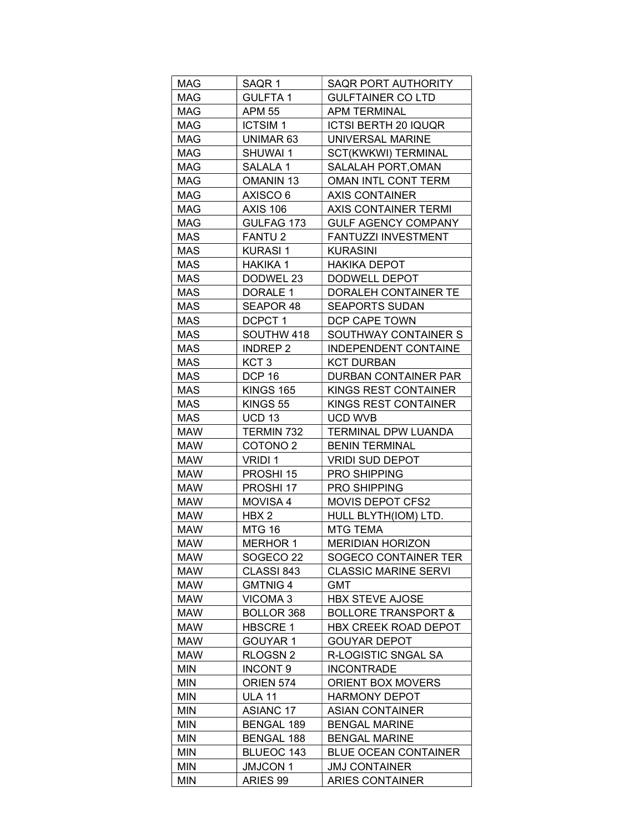| <b>MAG</b> | SAQR 1              | SAQR PORT AUTHORITY            |
|------------|---------------------|--------------------------------|
| <b>MAG</b> | <b>GULFTA1</b>      | <b>GULFTAINER CO LTD</b>       |
| MAG        | <b>APM 55</b>       | APM TERMINAL                   |
| <b>MAG</b> | <b>ICTSIM1</b>      | ICTSI BERTH 20 IQUQR           |
| <b>MAG</b> | UNIMAR 63           | UNIVERSAL MARINE               |
| <b>MAG</b> | SHUWAI 1            | SCT(KWKWI) TERMINAL            |
| <b>MAG</b> | SALALA 1            | SALALAH PORT, OMAN             |
| MAG        | OMANIN 13           | OMAN INTL CONT TERM            |
| <b>MAG</b> | AXISCO 6            | <b>AXIS CONTAINER</b>          |
| MAG        | AXIS 106            | <b>AXIS CONTAINER TERMI</b>    |
| <b>MAG</b> | GULFAG 173          | <b>GULF AGENCY COMPANY</b>     |
| <b>MAS</b> | <b>FANTU2</b>       | FANTUZZI INVESTMENT            |
| MAS        | KURASI 1            | <b>KURASINI</b>                |
| MAS        | HAKIKA 1            | HAKIKA DEPOT                   |
| <b>MAS</b> | DODWEL 23           | DODWELL DEPOT                  |
| <b>MAS</b> | DORALE 1            | DORALEH CONTAINER TE           |
| <b>MAS</b> | SEAPOR 48           | <b>SEAPORTS SUDAN</b>          |
| <b>MAS</b> | DCPCT 1             | DCP CAPE TOWN                  |
| <b>MAS</b> | SOUTHW 418          | SOUTHWAY CONTAINER S           |
| MAS        | <b>INDREP 2</b>     | <b>INDEPENDENT CONTAINE</b>    |
| <b>MAS</b> | KCT <sub>3</sub>    | <b>KCT DURBAN</b>              |
| <b>MAS</b> | <b>DCP 16</b>       | DURBAN CONTAINER PAR           |
| <b>MAS</b> | <b>KINGS 165</b>    | KINGS REST CONTAINER           |
| <b>MAS</b> | KINGS 55            | KINGS REST CONTAINER           |
| MAS        | UCD 13              | UCD WVB                        |
| <b>MAW</b> | TERMIN 732          | TERMINAL DPW LUANDA            |
| <b>MAW</b> | COTONO <sub>2</sub> | <b>BENIN TERMINAL</b>          |
| <b>MAW</b> | VRIDI 1             | <b>VRIDI SUD DEPOT</b>         |
| MAW        | PROSHI 15           | <b>PRO SHIPPING</b>            |
| <b>MAW</b> | PROSHI 17           | <b>PRO SHIPPING</b>            |
| <b>MAW</b> | <b>MOVISA 4</b>     | <b>MOVIS DEPOT CFS2</b>        |
| MAW        | HBX 2               | HULL BLYTH(IOM) LTD.           |
| <b>MAW</b> | <b>MTG 16</b>       | <b>MTG TEMA</b>                |
| <b>MAW</b> | <b>MERHOR 1</b>     | <b>MERIDIAN HORIZON</b>        |
| MAW        | SOGECO 22           | SOGECO CONTAINER TER           |
| MAW        | CLASSI 843          | <b>CLASSIC MARINE SERVI</b>    |
| MAW        | <b>GMTNIG4</b>      | GMT                            |
| MAW        | VICOMA 3            | <b>HBX STEVE AJOSE</b>         |
| <b>MAW</b> | <b>BOLLOR 368</b>   | <b>BOLLORE TRANSPORT &amp;</b> |
| <b>MAW</b> | <b>HBSCRE 1</b>     | HBX CREEK ROAD DEPOT           |
| MAW        | GOUYAR 1            | <b>GOUYAR DEPOT</b>            |
| MAW        | RLOGSN 2            | R-LOGISTIC SNGAL SA            |
| <b>MIN</b> | <b>INCONT 9</b>     | <b>INCONTRADE</b>              |
| MIN        | ORIEN 574           | <b>ORIENT BOX MOVERS</b>       |
| MIN        | <b>ULA 11</b>       | <b>HARMONY DEPOT</b>           |
| MIN        | ASIANC 17           | <b>ASIAN CONTAINER</b>         |
| <b>MIN</b> | <b>BENGAL 189</b>   | <b>BENGAL MARINE</b>           |
| MIN        | <b>BENGAL 188</b>   | BENGAL MARINE                  |
| MIN        | BLUEOC 143          | <b>BLUE OCEAN CONTAINER</b>    |
| <b>MIN</b> | <b>JMJCON1</b>      | <b>JMJ CONTAINER</b>           |
| <b>MIN</b> | ARIES 99            | <b>ARIES CONTAINER</b>         |
|            |                     |                                |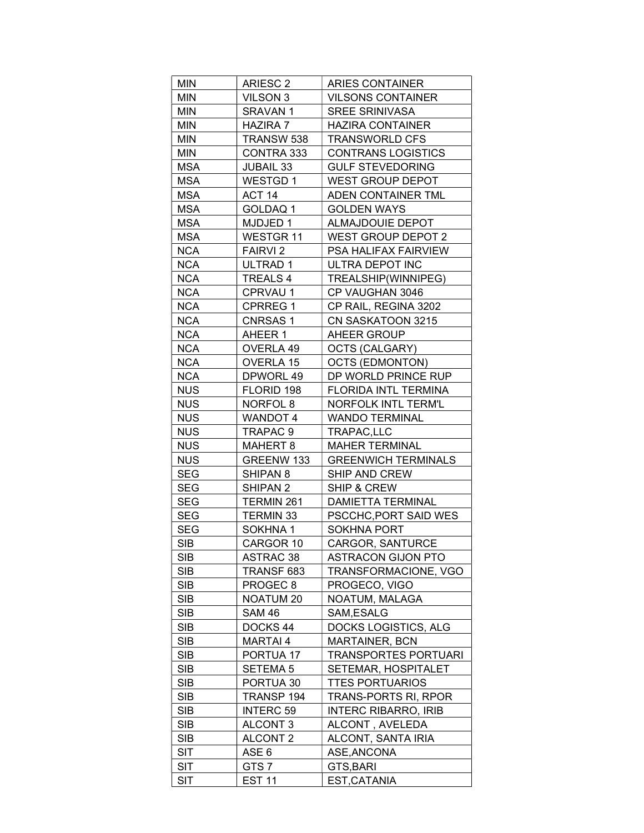| <b>MIN</b>               | ARIESC <sub>2</sub>   |                             |
|--------------------------|-----------------------|-----------------------------|
|                          |                       | ARIES CONTAINER             |
| <b>MIN</b>               | VILSON 3              | <b>VILSONS CONTAINER</b>    |
| MIN                      | SRAVAN 1              | <b>SREE SRINIVASA</b>       |
| MIN                      | HAZIRA 7              | <b>HAZIRA CONTAINER</b>     |
| MIN                      | TRANSW 538            | <b>TRANSWORLD CFS</b>       |
| MIN                      | CONTRA 333            | <b>CONTRANS LOGISTICS</b>   |
| <b>MSA</b>               | <b>JUBAIL 33</b>      | <b>GULF STEVEDORING</b>     |
| <b>MSA</b>               | WESTGD 1              | WEST GROUP DEPOT            |
| MSA                      | ACT 14                | ADEN CONTAINER TML          |
| <b>MSA</b>               | GOLDAQ 1              | <b>GOLDEN WAYS</b>          |
| <b>MSA</b>               | MJDJED 1              | <b>ALMAJDOUIE DEPOT</b>     |
| <b>MSA</b>               | WESTGR 11             | <b>WEST GROUP DEPOT 2</b>   |
| <b>NCA</b>               | <b>FAIRVI2</b>        | PSA HALIFAX FAIRVIEW        |
| <b>NCA</b>               | ULTRAD 1              | ULTRA DEPOT INC             |
| <b>NCA</b>               | TREALS 4              | TREALSHIP(WINNIPEG)         |
| <b>NCA</b>               | CPRVAU 1              | CP VAUGHAN 3046             |
| <b>NCA</b>               | <b>CPRREG1</b>        | CP RAIL, REGINA 3202        |
| <b>NCA</b>               | <b>CNRSAS1</b>        | CN SASKATOON 3215           |
| <b>NCA</b>               | AHEER 1               | AHEER GROUP                 |
| <b>NCA</b>               | OVERLA 49             | OCTS (CALGARY)              |
| <b>NCA</b>               | OVERLA 15             | <b>OCTS (EDMONTON)</b>      |
| <b>NCA</b>               | DPWORL 49             | DP WORLD PRINCE RUP         |
| <b>NUS</b>               | FLORID 198            | FLORIDA INTL TERMINA        |
| <b>NUS</b>               | NORFOL 8              | NORFOLK INTL TERM'L         |
| <b>NUS</b>               | WANDOT 4              | <b>WANDO TERMINAL</b>       |
| <b>NUS</b>               |                       |                             |
|                          |                       |                             |
|                          | TRAPAC 9              | TRAPAC,LLC                  |
| <b>NUS</b>               | MAHERT 8              | <b>MAHER TERMINAL</b>       |
| <b>NUS</b>               | GREENW 133            | <b>GREENWICH TERMINALS</b>  |
| SEG                      | SHIPAN 8              | SHIP AND CREW               |
| <b>SEG</b>               | SHIPAN 2              | <b>SHIP &amp; CREW</b>      |
| <b>SEG</b>               | TERMIN 261            | DAMIETTA TERMINAL           |
| SEG                      | TERMIN 33             | PSCCHC, PORT SAID WES       |
| <b>SEG</b>               | SOKHNA 1              | <b>SOKHNA PORT</b>          |
| SIB.                     | CARGOR 10             | <b>CARGOR, SANTURCE</b>     |
| <b>SIB</b>               | <b>ASTRAC 38</b>      | <b>ASTRACON GIJON PTO</b>   |
| <b>SIB</b>               | TRANSF 683            | TRANSFORMACIONE, VGO        |
| <b>SIB</b>               | PROGEC <sub>8</sub>   | PROGECO, VIGO               |
| <b>SIB</b>               | NOATUM 20             | NOATUM, MALAGA              |
| <b>SIB</b>               | SAM 46                | SAM, ESALG                  |
| <b>SIB</b>               | DOCKS 44              | DOCKS LOGISTICS, ALG        |
| <b>SIB</b>               | MARTAI 4              | <b>MARTAINER, BCN</b>       |
| <b>SIB</b>               | PORTUA 17             | TRANSPORTES PORTUARI        |
| <b>SIB</b>               | <b>SETEMA 5</b>       | SETEMAR, HOSPITALET         |
| <b>SIB</b>               | PORTUA 30             | <b>TTES PORTUARIOS</b>      |
| <b>SIB</b>               | TRANSP 194            | TRANS-PORTS RI, RPOR        |
| <b>SIB</b>               | <b>INTERC 59</b>      | <b>INTERC RIBARRO, IRIB</b> |
| <b>SIB</b>               | <b>ALCONT 3</b>       | ALCONT, AVELEDA             |
| <b>SIB</b>               | ALCONT 2              | ALCONT, SANTA IRIA          |
| <b>SIT</b>               | ASE 6                 | ASE, ANCONA                 |
| <b>SIT</b><br><b>SIT</b> | GTS7<br><b>EST 11</b> | GTS, BARI<br>EST, CATANIA   |